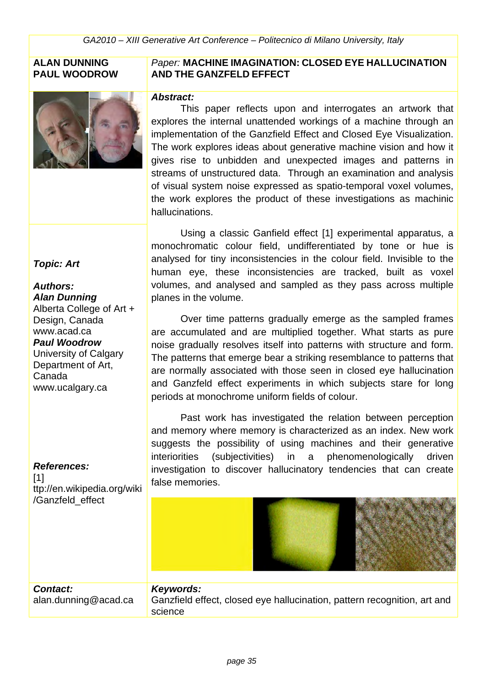#### **ALAN DUNNING PAUL WOODROW**



#### *Paper:* **MACHINE IMAGINATION: CLOSED EYE HALLUCINATION AND THE GANZFELD EFFECT**

#### *Abstract:*

This paper reflects upon and interrogates an artwork that explores the internal unattended workings of a machine through an implementation of the Ganzfield Effect and Closed Eye Visualization. The work explores ideas about generative machine vision and how it gives rise to unbidden and unexpected images and patterns in streams of unstructured data. Through an examination and analysis of visual system noise expressed as spatio-temporal voxel volumes, the work explores the product of these investigations as machinic hallucinations.

Using a classic Ganfield effect [1] experimental apparatus, a monochromatic colour field, undifferentiated by tone or hue is analysed for tiny inconsistencies in the colour field. Invisible to the human eye, these inconsistencies are tracked, built as voxel volumes, and analysed and sampled as they pass across multiple planes in the volume.

Over time patterns gradually emerge as the sampled frames are accumulated and are multiplied together. What starts as pure noise gradually resolves itself into patterns with structure and form. The patterns that emerge bear a striking resemblance to patterns that are normally associated with those seen in closed eye hallucination and Ganzfeld effect experiments in which subjects stare for long periods at monochrome uniform fields of colour.

Past work has investigated the relation between perception and memory where memory is characterized as an index. New work suggests the possibility of using machines and their generative interiorities (subjectivities) in a phenomenologically driven investigation to discover hallucinatory tendencies that can create false memories.



#### *Contact:* alan.dunning@acad.ca *Keywords:*  Ganzfield effect, closed eye hallucination, pattern recognition, art and science

#### *Topic: Art*

#### *Authors:*

*Alan Dunning* Alberta College of Art + Design, Canada www.acad.ca *Paul Woodrow* University of Calgary Department of Art, Canada www.ucalgary.ca

#### *References:*

 $[1]$ ttp://en.wikipedia.org/wiki /Ganzfeld\_effect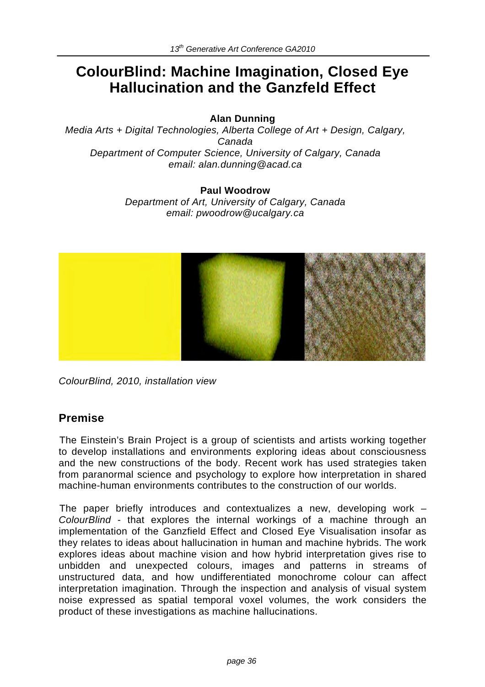# **ColourBlind: Machine Imagination, Closed Eye Hallucination and the Ganzfeld Effect**

#### **Alan Dunning**

*Media Arts + Digital Technologies, Alberta College of Art + Design, Calgary, Canada Department of Computer Science, University of Calgary, Canada email: alan.dunning@acad.ca*

#### **Paul Woodrow**

*Department of Art, University of Calgary, Canada email: pwoodrow@ucalgary.ca*



*ColourBlind, 2010, installation view* 

### **Premise**

The Einstein's Brain Project is a group of scientists and artists working together to develop installations and environments exploring ideas about consciousness and the new constructions of the body. Recent work has used strategies taken from paranormal science and psychology to explore how interpretation in shared machine-human environments contributes to the construction of our worlds.

The paper briefly introduces and contextualizes a new, developing work – *ColourBlind* - that explores the internal workings of a machine through an implementation of the Ganzfield Effect and Closed Eye Visualisation insofar as they relates to ideas about hallucination in human and machine hybrids. The work explores ideas about machine vision and how hybrid interpretation gives rise to unbidden and unexpected colours, images and patterns in streams of unstructured data, and how undifferentiated monochrome colour can affect interpretation imagination. Through the inspection and analysis of visual system noise expressed as spatial temporal voxel volumes, the work considers the product of these investigations as machine hallucinations.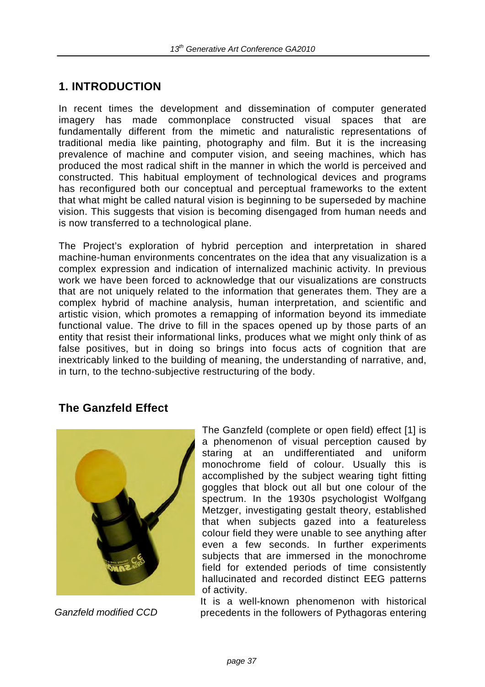## **1. INTRODUCTION**

In recent times the development and dissemination of computer generated imagery has made commonplace constructed visual spaces that are fundamentally different from the mimetic and naturalistic representations of traditional media like painting, photography and film. But it is the increasing prevalence of machine and computer vision, and seeing machines, which has produced the most radical shift in the manner in which the world is perceived and constructed. This habitual employment of technological devices and programs has reconfigured both our conceptual and perceptual frameworks to the extent that what might be called natural vision is beginning to be superseded by machine vision. This suggests that vision is becoming disengaged from human needs and is now transferred to a technological plane.

The Project's exploration of hybrid perception and interpretation in shared machine-human environments concentrates on the idea that any visualization is a complex expression and indication of internalized machinic activity. In previous work we have been forced to acknowledge that our visualizations are constructs that are not uniquely related to the information that generates them. They are a complex hybrid of machine analysis, human interpretation, and scientific and artistic vision, which promotes a remapping of information beyond its immediate functional value. The drive to fill in the spaces opened up by those parts of an entity that resist their informational links, produces what we might only think of as false positives, but in doing so brings into focus acts of cognition that are inextricably linked to the building of meaning, the understanding of narrative, and, in turn, to the techno-subjective restructuring of the body.

### **The Ganzfeld Effect**



The Ganzfeld (complete or open field) effect [1] is a phenomenon of visual perception caused by staring at an undifferentiated and uniform monochrome field of colour. Usually this is accomplished by the subject wearing tight fitting goggles that block out all but one colour of the spectrum. In the 1930s psychologist Wolfgang Metzger, investigating gestalt theory, established that when subjects gazed into a featureless colour field they were unable to see anything after even a few seconds. In further experiments subjects that are immersed in the monochrome field for extended periods of time consistently hallucinated and recorded distinct EEG patterns of activity.

It is a well-known phenomenon with historical *Ganzfeld modified CCD* precedents in the followers of Pythagoras entering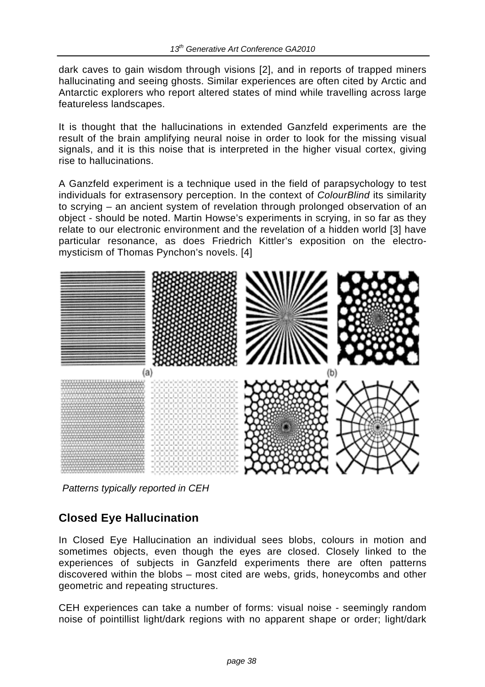dark caves to gain wisdom through visions [2], and in reports of trapped miners hallucinating and seeing ghosts. Similar experiences are often cited by Arctic and Antarctic explorers who report altered states of mind while travelling across large featureless landscapes.

It is thought that the hallucinations in extended Ganzfeld experiments are the result of the brain amplifying neural noise in order to look for the missing visual signals, and it is this noise that is interpreted in the higher visual cortex, giving rise to hallucinations.

A Ganzfeld experiment is a technique used in the field of parapsychology to test individuals for extrasensory perception. In the context of *ColourBlind* its similarity to scrying – an ancient system of revelation through prolonged observation of an object - should be noted. Martin Howse's experiments in scrying, in so far as they relate to our electronic environment and the revelation of a hidden world [3] have particular resonance, as does Friedrich Kittler's exposition on the electromysticism of Thomas Pynchon's novels. [4]



*Patterns typically reported in CEH* 

### **Closed Eye Hallucination**

In Closed Eye Hallucination an individual sees blobs, colours in motion and sometimes objects, even though the eyes are closed. Closely linked to the experiences of subjects in Ganzfeld experiments there are often patterns discovered within the blobs – most cited are webs, grids, honeycombs and other geometric and repeating structures.

CEH experiences can take a number of forms: visual noise - seemingly random noise of pointillist light/dark regions with no apparent shape or order; light/dark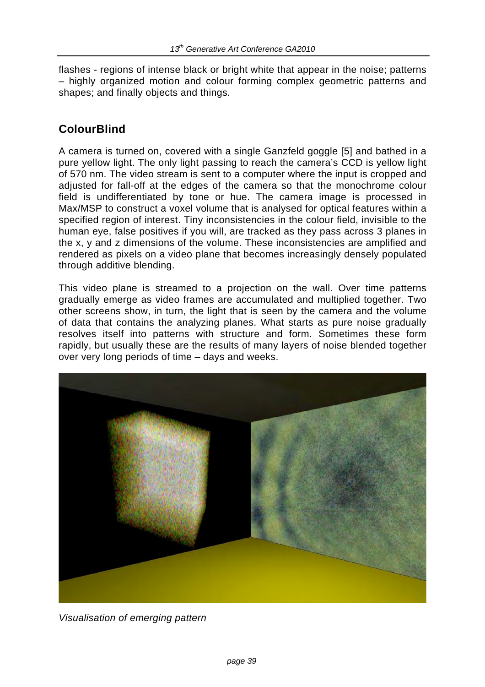flashes - regions of intense black or bright white that appear in the noise; patterns – highly organized motion and colour forming complex geometric patterns and shapes; and finally objects and things.

## **ColourBlind**

A camera is turned on, covered with a single Ganzfeld goggle [5] and bathed in a pure yellow light. The only light passing to reach the camera's CCD is yellow light of 570 nm. The video stream is sent to a computer where the input is cropped and adjusted for fall-off at the edges of the camera so that the monochrome colour field is undifferentiated by tone or hue. The camera image is processed in Max/MSP to construct a voxel volume that is analysed for optical features within a specified region of interest. Tiny inconsistencies in the colour field, invisible to the human eye, false positives if you will, are tracked as they pass across 3 planes in the x, y and z dimensions of the volume. These inconsistencies are amplified and rendered as pixels on a video plane that becomes increasingly densely populated through additive blending.

This video plane is streamed to a projection on the wall. Over time patterns gradually emerge as video frames are accumulated and multiplied together. Two other screens show, in turn, the light that is seen by the camera and the volume of data that contains the analyzing planes. What starts as pure noise gradually resolves itself into patterns with structure and form. Sometimes these form rapidly, but usually these are the results of many layers of noise blended together over very long periods of time – days and weeks.



*Visualisation of emerging pattern*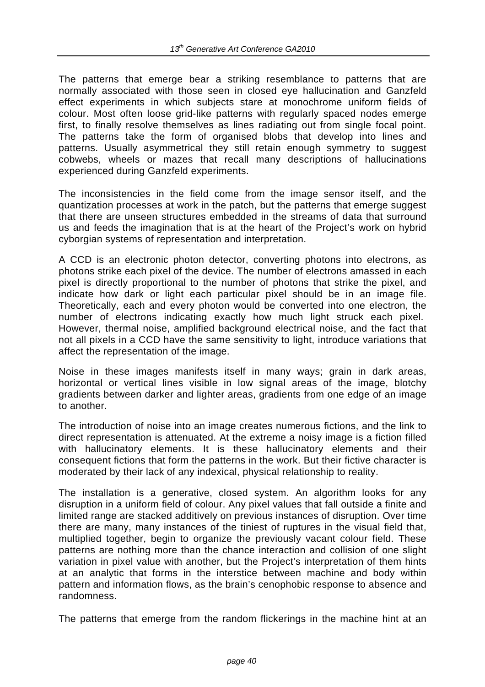The patterns that emerge bear a striking resemblance to patterns that are normally associated with those seen in closed eye hallucination and Ganzfeld effect experiments in which subjects stare at monochrome uniform fields of colour. Most often loose grid-like patterns with regularly spaced nodes emerge first, to finally resolve themselves as lines radiating out from single focal point. The patterns take the form of organised blobs that develop into lines and patterns. Usually asymmetrical they still retain enough symmetry to suggest cobwebs, wheels or mazes that recall many descriptions of hallucinations experienced during Ganzfeld experiments.

The inconsistencies in the field come from the image sensor itself, and the quantization processes at work in the patch, but the patterns that emerge suggest that there are unseen structures embedded in the streams of data that surround us and feeds the imagination that is at the heart of the Project's work on hybrid cyborgian systems of representation and interpretation.

A CCD is an electronic photon detector, converting photons into electrons, as photons strike each pixel of the device. The number of electrons amassed in each pixel is directly proportional to the number of photons that strike the pixel, and indicate how dark or light each particular pixel should be in an image file. Theoretically, each and every photon would be converted into one electron, the number of electrons indicating exactly how much light struck each pixel. However, thermal noise, amplified background electrical noise, and the fact that not all pixels in a CCD have the same sensitivity to light, introduce variations that affect the representation of the image.

Noise in these images manifests itself in many ways; grain in dark areas, horizontal or vertical lines visible in low signal areas of the image, blotchy gradients between darker and lighter areas, gradients from one edge of an image to another.

The introduction of noise into an image creates numerous fictions, and the link to direct representation is attenuated. At the extreme a noisy image is a fiction filled with hallucinatory elements. It is these hallucinatory elements and their consequent fictions that form the patterns in the work. But their fictive character is moderated by their lack of any indexical, physical relationship to reality.

The installation is a generative, closed system. An algorithm looks for any disruption in a uniform field of colour. Any pixel values that fall outside a finite and limited range are stacked additively on previous instances of disruption. Over time there are many, many instances of the tiniest of ruptures in the visual field that, multiplied together, begin to organize the previously vacant colour field. These patterns are nothing more than the chance interaction and collision of one slight variation in pixel value with another, but the Project's interpretation of them hints at an analytic that forms in the interstice between machine and body within pattern and information flows, as the brain's cenophobic response to absence and randomness.

The patterns that emerge from the random flickerings in the machine hint at an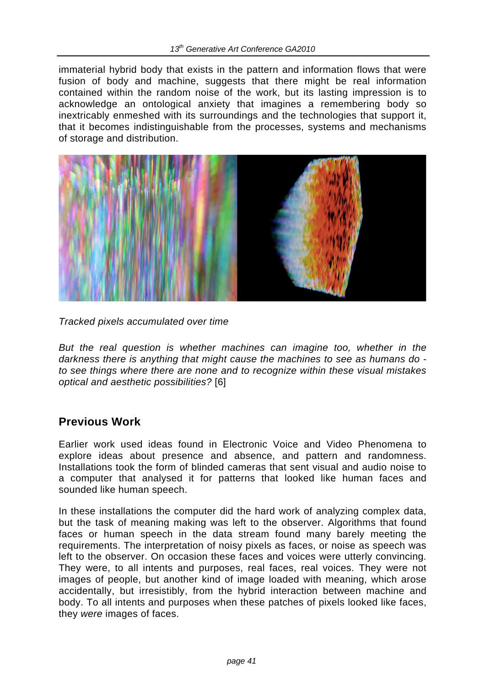immaterial hybrid body that exists in the pattern and information flows that were fusion of body and machine, suggests that there might be real information contained within the random noise of the work, but its lasting impression is to acknowledge an ontological anxiety that imagines a remembering body so inextricably enmeshed with its surroundings and the technologies that support it, that it becomes indistinguishable from the processes, systems and mechanisms of storage and distribution.



*Tracked pixels accumulated over time*

*But the real question is whether machines can imagine too, whether in the darkness there is anything that might cause the machines to see as humans do to see things where there are none and to recognize within these visual mistakes optical and aesthetic possibilities?* [6]

### **Previous Work**

Earlier work used ideas found in Electronic Voice and Video Phenomena to explore ideas about presence and absence, and pattern and randomness. Installations took the form of blinded cameras that sent visual and audio noise to a computer that analysed it for patterns that looked like human faces and sounded like human speech.

In these installations the computer did the hard work of analyzing complex data, but the task of meaning making was left to the observer. Algorithms that found faces or human speech in the data stream found many barely meeting the requirements. The interpretation of noisy pixels as faces, or noise as speech was left to the observer. On occasion these faces and voices were utterly convincing. They were, to all intents and purposes, real faces, real voices. They were not images of people, but another kind of image loaded with meaning, which arose accidentally, but irresistibly, from the hybrid interaction between machine and body. To all intents and purposes when these patches of pixels looked like faces, they *were* images of faces.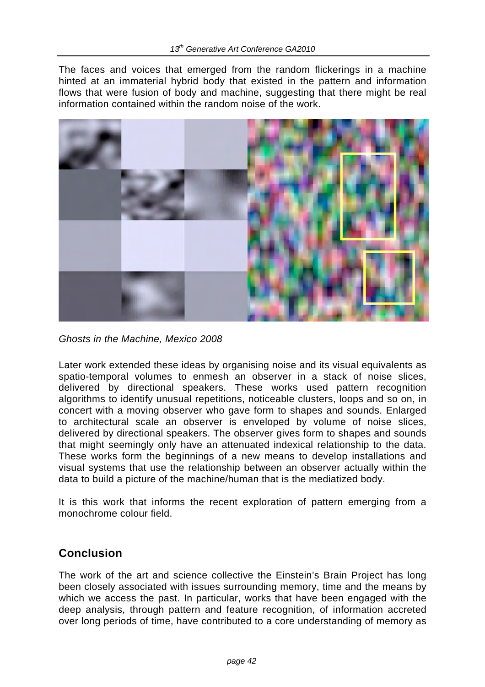The faces and voices that emerged from the random flickerings in a machine hinted at an immaterial hybrid body that existed in the pattern and information flows that were fusion of body and machine, suggesting that there might be real information contained within the random noise of the work.



*Ghosts in the Machine, Mexico 2008*

Later work extended these ideas by organising noise and its visual equivalents as spatio-temporal volumes to enmesh an observer in a stack of noise slices, delivered by directional speakers. These works used pattern recognition algorithms to identify unusual repetitions, noticeable clusters, loops and so on, in concert with a moving observer who gave form to shapes and sounds. Enlarged to architectural scale an observer is enveloped by volume of noise slices, delivered by directional speakers. The observer gives form to shapes and sounds that might seemingly only have an attenuated indexical relationship to the data. These works form the beginnings of a new means to develop installations and visual systems that use the relationship between an observer actually within the data to build a picture of the machine/human that is the mediatized body.

It is this work that informs the recent exploration of pattern emerging from a monochrome colour field.

### **Conclusion**

The work of the art and science collective the Einstein's Brain Project has long been closely associated with issues surrounding memory, time and the means by which we access the past. In particular, works that have been engaged with the deep analysis, through pattern and feature recognition, of information accreted over long periods of time, have contributed to a core understanding of memory as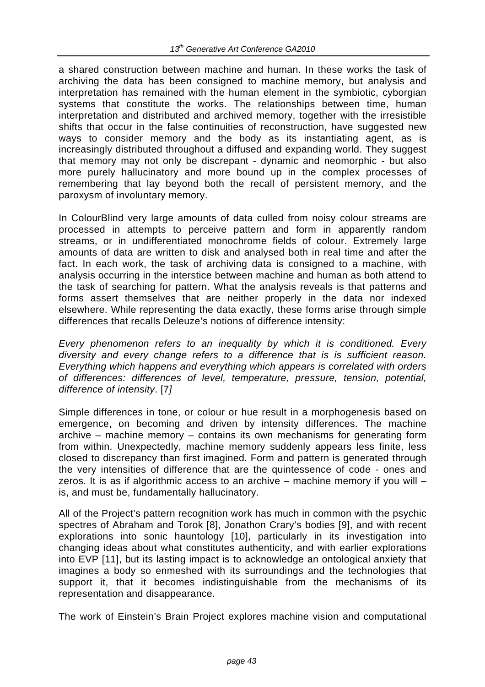a shared construction between machine and human. In these works the task of archiving the data has been consigned to machine memory, but analysis and interpretation has remained with the human element in the symbiotic, cyborgian systems that constitute the works. The relationships between time, human interpretation and distributed and archived memory, together with the irresistible shifts that occur in the false continuities of reconstruction, have suggested new ways to consider memory and the body as its instantiating agent, as is increasingly distributed throughout a diffused and expanding world. They suggest that memory may not only be discrepant - dynamic and neomorphic - but also more purely hallucinatory and more bound up in the complex processes of remembering that lay beyond both the recall of persistent memory, and the paroxysm of involuntary memory.

In ColourBlind very large amounts of data culled from noisy colour streams are processed in attempts to perceive pattern and form in apparently random streams, or in undifferentiated monochrome fields of colour. Extremely large amounts of data are written to disk and analysed both in real time and after the fact. In each work, the task of archiving data is consigned to a machine, with analysis occurring in the interstice between machine and human as both attend to the task of searching for pattern. What the analysis reveals is that patterns and forms assert themselves that are neither properly in the data nor indexed elsewhere. While representing the data exactly, these forms arise through simple differences that recalls Deleuze's notions of difference intensity:

*Every phenomenon refers to an inequality by which it is conditioned. Every diversity and every change refers to a difference that is is sufficient reason. Everything which happens and everything which appears is correlated with orders of differences: differences of level, temperature, pressure, tension, potential, difference of intensity*. [7*]* 

Simple differences in tone, or colour or hue result in a morphogenesis based on emergence, on becoming and driven by intensity differences. The machine archive – machine memory – contains its own mechanisms for generating form from within. Unexpectedly, machine memory suddenly appears less finite, less closed to discrepancy than first imagined. Form and pattern is generated through the very intensities of difference that are the quintessence of code - ones and zeros. It is as if algorithmic access to an archive – machine memory if you will – is, and must be, fundamentally hallucinatory.

All of the Project's pattern recognition work has much in common with the psychic spectres of Abraham and Torok [8], Jonathon Crary's bodies [9], and with recent explorations into sonic hauntology [10], particularly in its investigation into changing ideas about what constitutes authenticity, and with earlier explorations into EVP [11], but its lasting impact is to acknowledge an ontological anxiety that imagines a body so enmeshed with its surroundings and the technologies that support it, that it becomes indistinguishable from the mechanisms of its representation and disappearance.

The work of Einstein's Brain Project explores machine vision and computational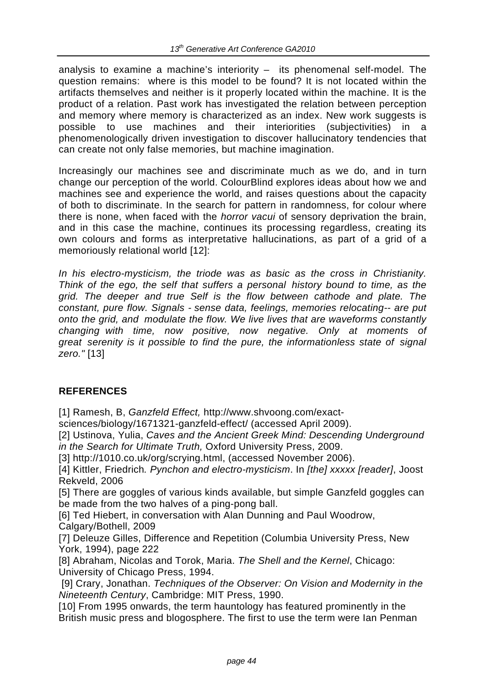analysis to examine a machine's interiority – its phenomenal self-model. The question remains: where is this model to be found? It is not located within the artifacts themselves and neither is it properly located within the machine. It is the product of a relation. Past work has investigated the relation between perception and memory where memory is characterized as an index. New work suggests is possible to use machines and their interiorities (subjectivities) in a phenomenologically driven investigation to discover hallucinatory tendencies that can create not only false memories, but machine imagination.

Increasingly our machines see and discriminate much as we do, and in turn change our perception of the world. ColourBlind explores ideas about how we and machines see and experience the world, and raises questions about the capacity of both to discriminate. In the search for pattern in randomness, for colour where there is none, when faced with the *horror vacui* of sensory deprivation the brain, and in this case the machine, continues its processing regardless, creating its own colours and forms as interpretative hallucinations, as part of a grid of a memoriously relational world [12]:

*In his electro-mysticism, the triode was as basic as the cross in Christianity. Think of the ego, the self that suffers a personal history bound to time, as the grid. The deeper and true Self is the flow between cathode and plate. The constant, pure flow. Signals - sense data, feelings, memories relocating-- are put onto the grid, and modulate the flow. We live lives that are waveforms constantly changing with time, now positive, now negative. Only at moments of great serenity is it possible to find the pure, the informationless state of signal zero."* [13]

### **REFERENCES**

[1] Ramesh, B, *Ganzfeld Effect,* http://www.shvoong.com/exact-

sciences/biology/1671321-ganzfeld-effect/ (accessed April 2009).

[2] Ustinova, Yulia, *Caves and the Ancient Greek Mind: Descending Underground in the Search for Ultimate Truth,* Oxford University Press, 2009.

[3] http://1010.co.uk/org/scrying.html, (accessed November 2006).

[4] Kittler, Friedrich*. Pynchon and electro-mysticism*. In *[the] xxxxx [reader]*, Joost Rekveld, 2006

[5] There are goggles of various kinds available, but simple Ganzfeld goggles can be made from the two halves of a ping-pong ball.

[6] Ted Hiebert, in conversation with Alan Dunning and Paul Woodrow,

Calgary/Bothell, 2009

[7] Deleuze Gilles, Difference and Repetition (Columbia University Press, New York, 1994), page 222

[8] Abraham, Nicolas and Torok, Maria. *The Shell and the Kernel*, Chicago: University of Chicago Press, 1994.

 [9] Crary, Jonathan. *Techniques of the Observer: On Vision and Modernity in the Nineteenth Century*, Cambridge: MIT Press, 1990.

[10] From 1995 onwards, the term hauntology has featured prominently in the British music press and blogosphere. The first to use the term were Ian Penman